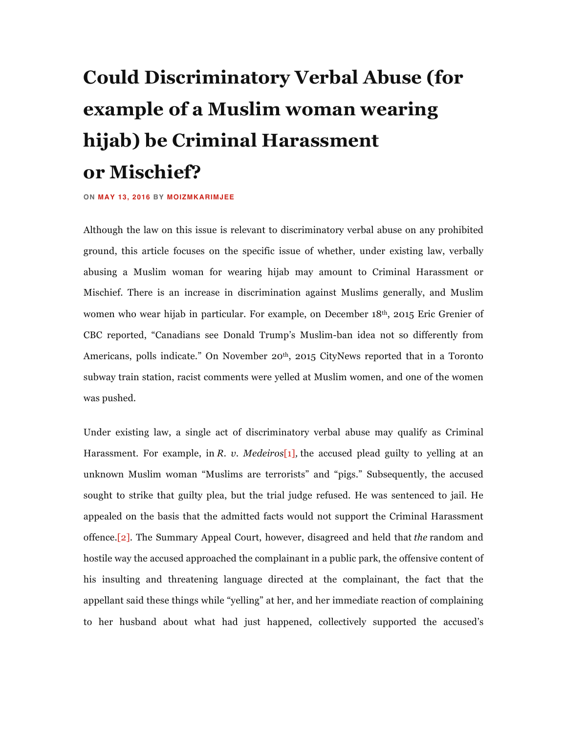## **Could Discriminatory Verbal Abuse (for example of a Muslim woman wearing hijab) be Criminal Harassment or Mischief?**

## **ON MAY 13, 2016 BY MOIZMKARIMJEE**

Although the law on this issue is relevant to discriminatory verbal abuse on any prohibited ground, this article focuses on the specific issue of whether, under existing law, verbally abusing a Muslim woman for wearing hijab may amount to Criminal Harassment or Mischief. There is an increase in discrimination against Muslims generally, and Muslim women who wear hijab in particular. For example, on December 18th, 2015 Eric Grenier of CBC reported, "Canadians see Donald Trump's Muslim-ban idea not so differently from Americans, polls indicate." On November 20<sup>th</sup>, 2015 CityNews reported that in a Toronto subway train station, racist comments were yelled at Muslim women, and one of the women was pushed.

Under existing law, a single act of discriminatory verbal abuse may qualify as Criminal Harassment. For example, in *R. v. Medeiros*[1]*,* the accused plead guilty to yelling at an unknown Muslim woman "Muslims are terrorists" and "pigs." Subsequently, the accused sought to strike that guilty plea, but the trial judge refused. He was sentenced to jail. He appealed on the basis that the admitted facts would not support the Criminal Harassment offence.[2]. The Summary Appeal Court, however, disagreed and held that *the* random and hostile way the accused approached the complainant in a public park, the offensive content of his insulting and threatening language directed at the complainant, the fact that the appellant said these things while "yelling" at her, and her immediate reaction of complaining to her husband about what had just happened, collectively supported the accused's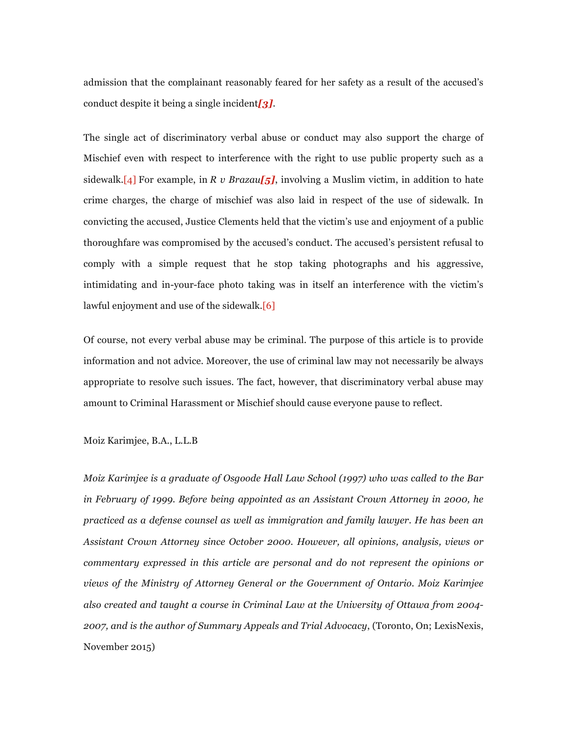admission that the complainant reasonably feared for her safety as a result of the accused's conduct despite it being a single incident*[3].*

The single act of discriminatory verbal abuse or conduct may also support the charge of Mischief even with respect to interference with the right to use public property such as a sidewalk.[4] For example, in *R v Brazau[5]*, involving a Muslim victim, in addition to hate crime charges, the charge of mischief was also laid in respect of the use of sidewalk. In convicting the accused, Justice Clements held that the victim's use and enjoyment of a public thoroughfare was compromised by the accused's conduct. The accused's persistent refusal to comply with a simple request that he stop taking photographs and his aggressive, intimidating and in-your-face photo taking was in itself an interference with the victim's lawful enjoyment and use of the sidewalk.[6]

Of course, not every verbal abuse may be criminal. The purpose of this article is to provide information and not advice. Moreover, the use of criminal law may not necessarily be always appropriate to resolve such issues. The fact, however, that discriminatory verbal abuse may amount to Criminal Harassment or Mischief should cause everyone pause to reflect.

Moiz Karimjee, B.A., L.L.B

*Moiz Karimjee is a graduate of Osgoode Hall Law School (1997) who was called to the Bar in February of 1999. Before being appointed as an Assistant Crown Attorney in 2000, he practiced as a defense counsel as well as immigration and family lawyer. He has been an Assistant Crown Attorney since October 2000. However, all opinions, analysis, views or commentary expressed in this article are personal and do not represent the opinions or views of the Ministry of Attorney General or the Government of Ontario. Moiz Karimjee also created and taught a course in Criminal Law at the University of Ottawa from 2004- 2007, and is the author of Summary Appeals and Trial Advocacy*, (Toronto, On; LexisNexis, November 2015)